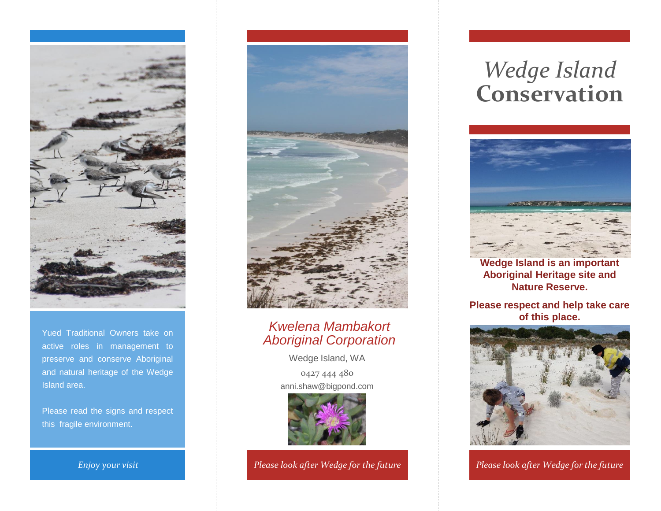

Yued Traditional Owners take on active roles in management to preserve and conserve Aboriginal and natural heritage of the Wedge Island area.

Please read the signs and respect this fragile environment.



### *Kwelena Mambakort Aboriginal Corporation*

Wedge Island, WA 0427 444 480 anni.shaw@bigpond.com



*Please look after Wedge for the future*

# *Wedge Island* **Conservation**



**Wedge Island is an important Aboriginal Heritage site and Nature Reserve.**

**Please respect and help take care of this place.**



*Enjoy your visit Please look after Wedge for the future Please look after Wedge for the future*